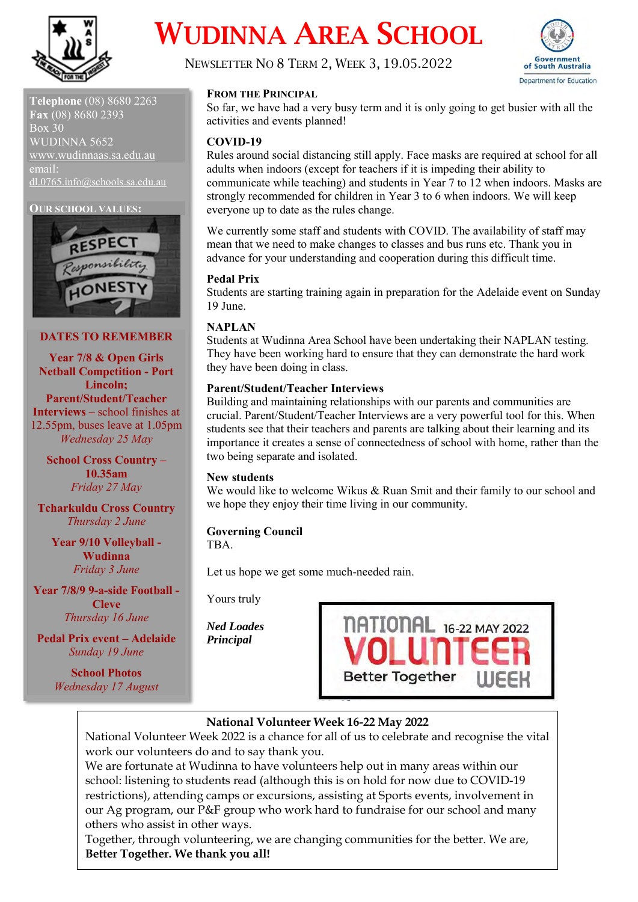

**Telephone** (08) 8680 2263 **Fax** (08) 8680 2393 Box 30 WUDINNA 5652 [www.wudinnaas.sa.edu.au](http://www.wudinnaas.sa.edu.au/) email: [dl.0765.info@schools.sa.edu.au](mailto:dl.0765.info@schools.sa.edu.au)

**OUR SCHOOL VALUES:**



#### **DATES TO REMEMBER**

**Year 7/8 & Open Girls Netball Competition - Port Lincoln; Parent/Student/Teacher Interviews –** school finishes at 12.55pm, buses leave at 1.05pm *Wednesday 25 May*

**School Cross Country – 10.35am** *Friday 27 May*

**Tcharkuldu Cross Country** *Thursday 2 June*

**Year 9/10 Volleyball - Wudinna** *Friday 3 June*

**Year 7/8/9 9-a-side Football - Cleve** *Thursday 16 June*

**Pedal Prix event – Adelaide** *Sunday 19 June*

> **School Photos** *Wednesday 17 August*

## O **WUDINNA AREA SCHOOL**

NEWSLETTER NO 8 TERM 2, WEEK 3, 19.05.2022



#### **FROM THE PRINCIPAL**

So far, we have had a very busy term and it is only going to get busier with all the activities and events planned!

#### **COVID-19**

Rules around social distancing still apply. Face masks are required at school for all adults when indoors (except for teachers if it is impeding their ability to communicate while teaching) and students in Year 7 to 12 when indoors. Masks are strongly recommended for children in Year 3 to 6 when indoors. We will keep everyone up to date as the rules change.

We currently some staff and students with COVID. The availability of staff may mean that we need to make changes to classes and bus runs etc. Thank you in advance for your understanding and cooperation during this difficult time.

#### **Pedal Prix**

Students are starting training again in preparation for the Adelaide event on Sunday 19 June.

#### **NAPLAN**

Students at Wudinna Area School have been undertaking their NAPLAN testing. They have been working hard to ensure that they can demonstrate the hard work they have been doing in class.

#### **Parent/Student/Teacher Interviews**

Building and maintaining relationships with our parents and communities are crucial. Parent/Student/Teacher Interviews are a very powerful tool for this. When students see that their teachers and parents are talking about their learning and its importance it creates a sense of connectedness of school with home, rather than the two being separate and isolated.

#### **New students**

We would like to welcome Wikus & Ruan Smit and their family to our school and we hope they enjoy their time living in our community.

#### **Governing Council**

TBA.

Let us hope we get some much-needed rain.

Yours truly

*Ned Loades Principal*



#### **National Volunteer Week 16-22 May 2022**

National Volunteer Week 2022 is a chance for all of us to celebrate and recognise the vital work our volunteers do and to say thank you.

We are fortunate at Wudinna to have volunteers help out in many areas within our school: listening to students read (although this is on hold for now due to COVID-19 restrictions), attending camps or excursions, assisting at Sports events, involvement in our Ag program, our P&F group who work hard to fundraise for our school and many others who assist in other ways.

Together, through volunteering, we are changing communities for the better. We are, **Better Together. We thank you all!**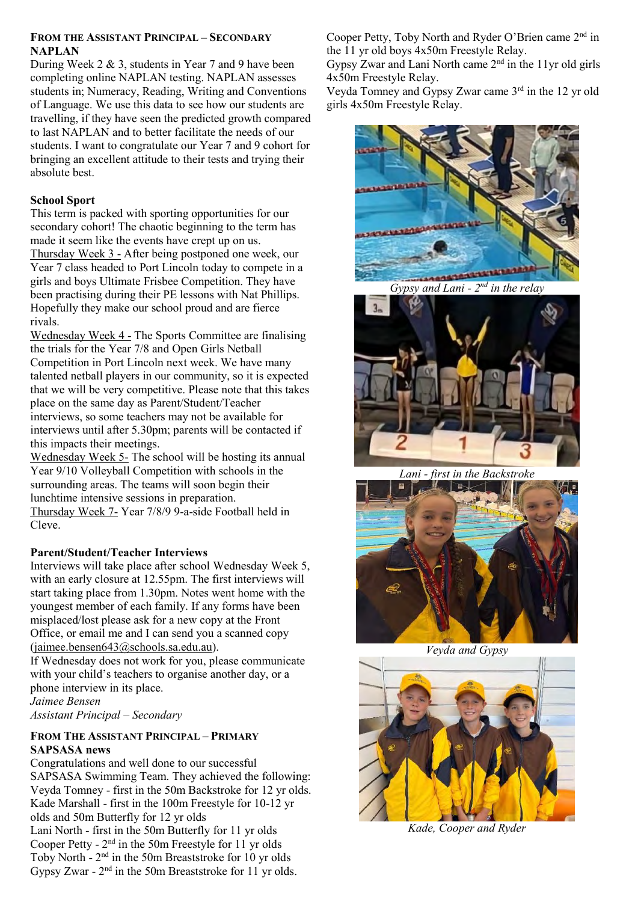#### **FROM THE ASSISTANT PRINCIPAL – SECONDARY NAPLAN**

During Week 2 & 3, students in Year 7 and 9 have been completing online NAPLAN testing. NAPLAN assesses students in; Numeracy, Reading, Writing and Conventions of Language. We use this data to see how our students are travelling, if they have seen the predicted growth compared to last NAPLAN and to better facilitate the needs of our students. I want to congratulate our Year 7 and 9 cohort for bringing an excellent attitude to their tests and trying their absolute best.

#### **School Sport**

This term is packed with sporting opportunities for our secondary cohort! The chaotic beginning to the term has made it seem like the events have crept up on us. Thursday Week 3 - After being postponed one week, our Year 7 class headed to Port Lincoln today to compete in a girls and boys Ultimate Frisbee Competition. They have been practising during their PE lessons with Nat Phillips. Hopefully they make our school proud and are fierce rivals.

Wednesday Week 4 - The Sports Committee are finalising the trials for the Year 7/8 and Open Girls Netball Competition in Port Lincoln next week. We have many talented netball players in our community, so it is expected that we will be very competitive. Please note that this takes place on the same day as Parent/Student/Teacher interviews, so some teachers may not be available for interviews until after 5.30pm; parents will be contacted if this impacts their meetings.

Wednesday Week 5- The school will be hosting its annual Year 9/10 Volleyball Competition with schools in the surrounding areas. The teams will soon begin their lunchtime intensive sessions in preparation. Thursday Week 7- Year 7/8/9 9-a-side Football held in Cleve.

#### **Parent/Student/Teacher Interviews**

Interviews will take place after school Wednesday Week 5, with an early closure at 12.55pm. The first interviews will start taking place from 1.30pm. Notes went home with the youngest member of each family. If any forms have been misplaced/lost please ask for a new copy at the Front Office, or email me and I can send you a scanned copy [\(jaimee.bensen643@schools.sa.edu.au\)](mailto:jaimee.bensen643@schools.sa.edu.au).

If Wednesday does not work for you, please communicate with your child's teachers to organise another day, or a phone interview in its place.

*Jaimee Bensen Assistant Principal – Secondary*

#### **FROM THE ASSISTANT PRINCIPAL – PRIMARY SAPSASA news**

Congratulations and well done to our successful SAPSASA Swimming Team. They achieved the following: Veyda Tomney - first in the 50m Backstroke for 12 yr olds. Kade Marshall - first in the 100m Freestyle for 10-12 yr olds and 50m Butterfly for 12 yr olds Lani North - first in the 50m Butterfly for 11 yr olds Cooper Petty -  $2<sup>nd</sup>$  in the 50m Freestyle for 11 yr olds Toby North - 2<sup>nd</sup> in the 50m Breaststroke for 10 yr olds Gypsy Zwar -  $2<sup>nd</sup>$  in the 50m Breaststroke for 11 yr olds.

Cooper Petty, Toby North and Ryder O'Brien came 2nd in the 11 yr old boys 4x50m Freestyle Relay.

Gypsy Zwar and Lani North came  $2<sup>nd</sup>$  in the 11yr old girls 4x50m Freestyle Relay.

Veyda Tomney and Gypsy Zwar came 3rd in the 12 yr old girls 4x50m Freestyle Relay.



*Gypsy and Lani -*  $2^{nd}$  *in the relay* 



*Lani - first in the Backstroke*



*Veyda and Gypsy*



*Kade, Cooper and Ryder*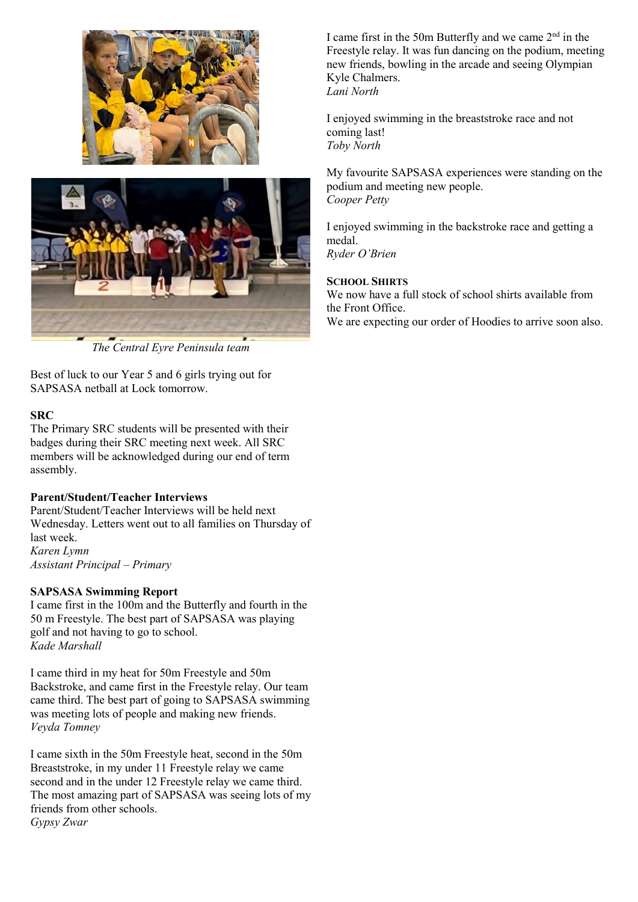



*The Central Eyre Peninsula team*

Best of luck to our Year 5 and 6 girls trying out for SAPSASA netball at Lock tomorrow.

#### **SRC**

The Primary SRC students will be presented with their badges during their SRC meeting next week. All SRC members will be acknowledged during our end of term assembly.

#### **Parent/Student/Teacher Interviews**

Parent/Student/Teacher Interviews will be held next Wednesday. Letters went out to all families on Thursday of last week. *Karen Lymn*

*Assistant Principal – Primary*

#### **SAPSASA Swimming Report**

I came first in the 100m and the Butterfly and fourth in the 50 m Freestyle. The best part of SAPSASA was playing golf and not having to go to school. *Kade Marshall*

I came third in my heat for 50m Freestyle and 50m Backstroke, and came first in the Freestyle relay. Our team came third. The best part of going to SAPSASA swimming was meeting lots of people and making new friends. *Veyda Tomney*

I came sixth in the 50m Freestyle heat, second in the 50m Breaststroke, in my under 11 Freestyle relay we came second and in the under 12 Freestyle relay we came third. The most amazing part of SAPSASA was seeing lots of my friends from other schools. *Gypsy Zwar*

I came first in the 50m Butterfly and we came  $2<sup>nd</sup>$  in the Freestyle relay. It was fun dancing on the podium, meeting new friends, bowling in the arcade and seeing Olympian Kyle Chalmers. *Lani North*

I enjoyed swimming in the breaststroke race and not coming last! *Toby North*

My favourite SAPSASA experiences were standing on the podium and meeting new people. *Cooper Petty*

I enjoyed swimming in the backstroke race and getting a medal. *Ryder O'Brien* 

#### **SCHOOL SHIRTS**

We now have a full stock of school shirts available from the Front Office. We are expecting our order of Hoodies to arrive soon also.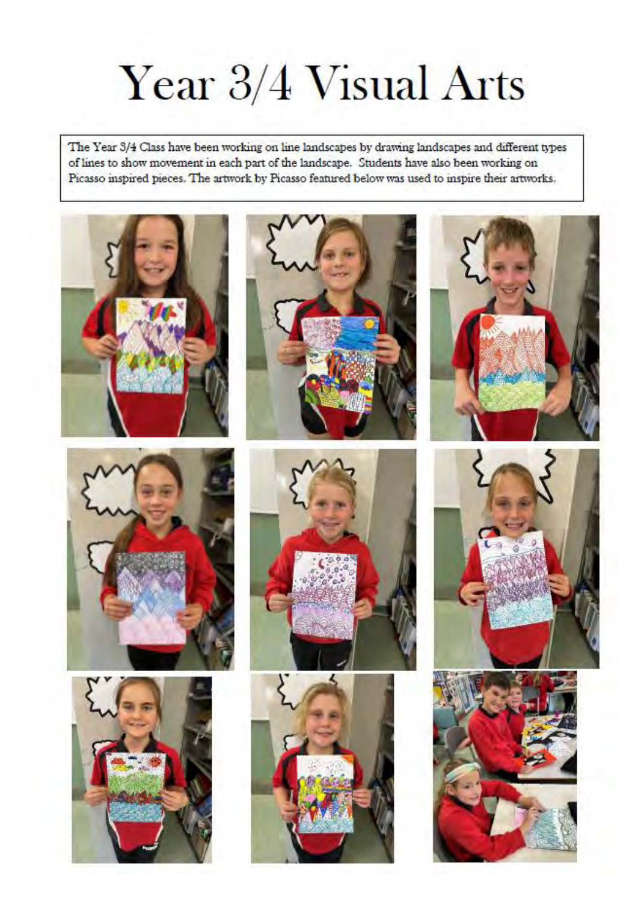# Year 3/4 Visual Arts

The Year 3/4 Class have been working on line landscapes by drawing landscapes and different types of lines to show movement in each part of the landscape. Students have also been working on Picasso inspired pieces. The artwork by Picasso featured below was used to inspire their artworks.

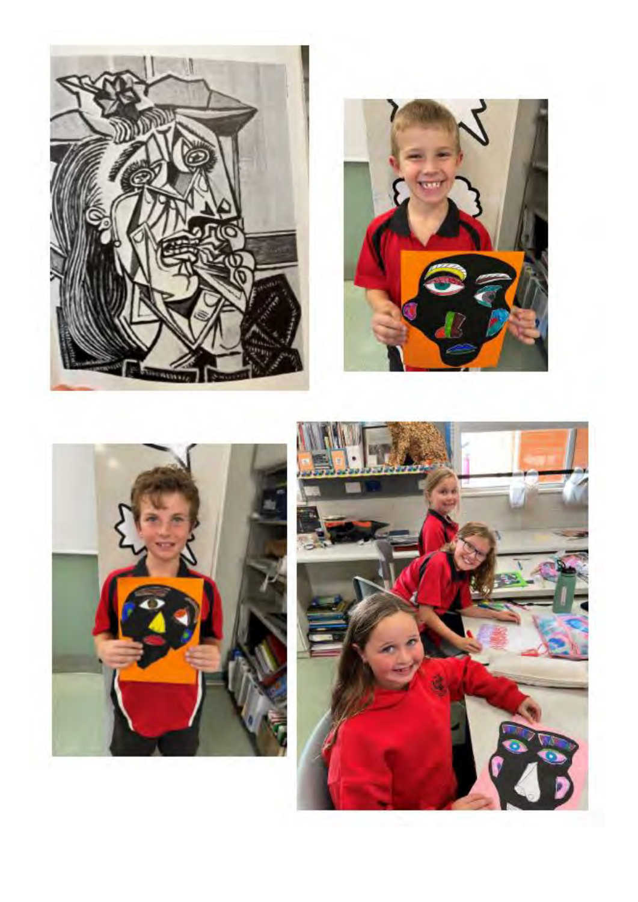

![](_page_4_Picture_1.jpeg)

![](_page_4_Picture_2.jpeg)

![](_page_4_Picture_3.jpeg)